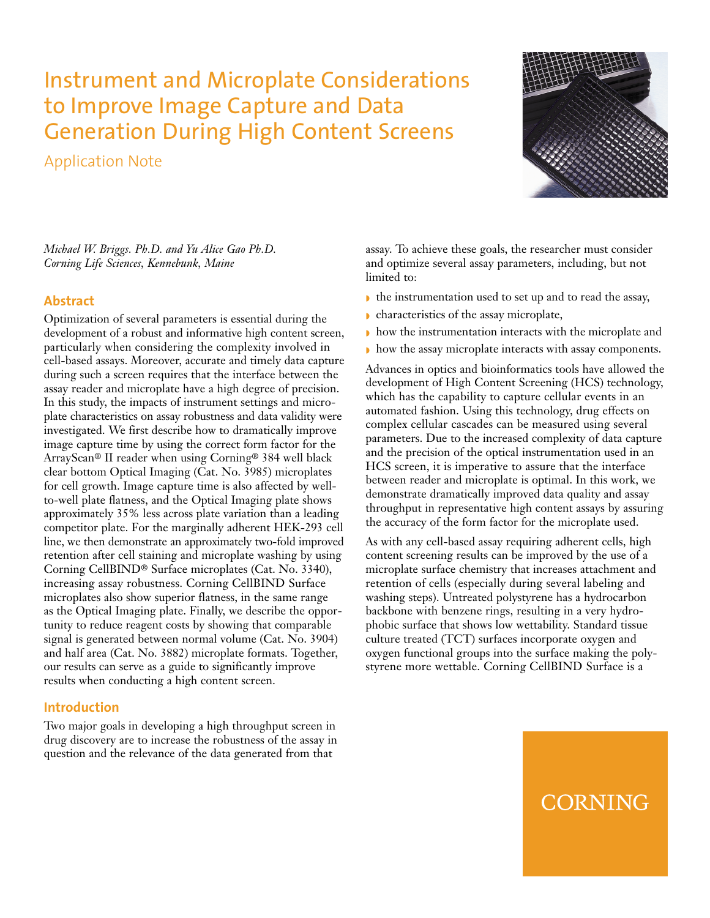# Instrument and Microplate Considerations to Improve Image Capture and Data Generation During High Content Screens

Application Note



*Michael W. Briggs. Ph.D. and Yu Alice Gao Ph.D. Corning Life Sciences, Kennebunk, Maine*

## **Abstract**

Optimization of several parameters is essential during the development of a robust and informative high content screen, particularly when considering the complexity involved in cell-based assays. Moreover, accurate and timely data capture during such a screen requires that the interface between the assay reader and microplate have a high degree of precision. In this study, the impacts of instrument settings and microplate characteristics on assay robustness and data validity were investigated. We first describe how to dramatically improve image capture time by using the correct form factor for the ArrayScan® II reader when using Corning® 384 well black clear bottom Optical Imaging (Cat. No. 3985) microplates for cell growth. Image capture time is also affected by wellto-well plate flatness, and the Optical Imaging plate shows approximately 35% less across plate variation than a leading competitor plate. For the marginally adherent HEK-293 cell line, we then demonstrate an approximately two-fold improved retention after cell staining and microplate washing by using Corning CellBIND® Surface microplates (Cat. No. 3340), increasing assay robustness. Corning CellBIND Surface microplates also show superior flatness, in the same range as the Optical Imaging plate. Finally, we describe the opportunity to reduce reagent costs by showing that comparable signal is generated between normal volume (Cat. No. 3904) and half area (Cat. No. 3882) microplate formats. Together, our results can serve as a guide to significantly improve results when conducting a high content screen.

## **Introduction**

Two major goals in developing a high throughput screen in drug discovery are to increase the robustness of the assay in question and the relevance of the data generated from that

assay. To achieve these goals, the researcher must consider and optimize several assay parameters, including, but not limited to:

- ◗ the instrumentation used to set up and to read the assay,
- ◗ characteristics of the assay microplate,
- ◗ how the instrumentation interacts with the microplate and
- ◗ how the assay microplate interacts with assay components.

Advances in optics and bioinformatics tools have allowed the development of High Content Screening (HCS) technology, which has the capability to capture cellular events in an automated fashion. Using this technology, drug effects on complex cellular cascades can be measured using several parameters. Due to the increased complexity of data capture and the precision of the optical instrumentation used in an HCS screen, it is imperative to assure that the interface between reader and microplate is optimal. In this work, we demonstrate dramatically improved data quality and assay throughput in representative high content assays by assuring the accuracy of the form factor for the microplate used.

As with any cell-based assay requiring adherent cells, high content screening results can be improved by the use of a microplate surface chemistry that increases attachment and retention of cells (especially during several labeling and washing steps). Untreated polystyrene has a hydrocarbon backbone with benzene rings, resulting in a very hydrophobic surface that shows low wettability. Standard tissue culture treated (TCT) surfaces incorporate oxygen and oxygen functional groups into the surface making the polystyrene more wettable. Corning CellBIND Surface is a

# **CORNING**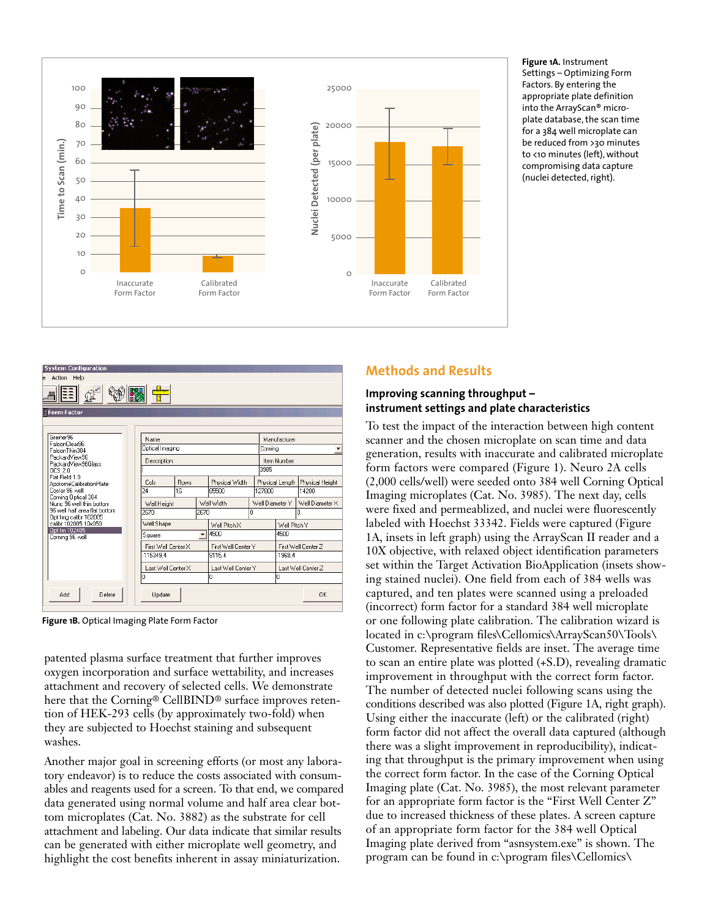

**Figure 1A.** Instrument Settings – Optimizing Form Factors. By entering the appropriate plate definition into the ArrayScan® microplate database, the scan time for a 384 well microplate can be reduced from >30 minutes to <10 minutes (left), without compromising data capture (nuclei detected, right).

| <b>Methods and Results</b> |
|----------------------------|
| Improving scanning throu   |

**instrument settings and plate characteristics**

**Infoughput –** 

To test the impact of the interaction between high content scanner and the chosen microplate on scan time and data generation, results with inaccurate and calibrated microplate form factors were compared (Figure 1). Neuro 2A cells (2,000 cells/well) were seeded onto 384 well Corning Optical Imaging microplates (Cat. No. 3985). The next day, cells were fixed and permeablized, and nuclei were fluorescently labeled with Hoechst 33342. Fields were captured (Figure 1A, insets in left graph) using the ArrayScan II reader and a 10X objective, with relaxed object identification parameters set within the Target Activation BioApplication (insets showing stained nuclei). One field from each of 384 wells was captured, and ten plates were scanned using a preloaded (incorrect) form factor for a standard 384 well microplate or one following plate calibration. The calibration wizard is located in c:\program files\Cellomics\ArrayScan50\Tools\ Customer. Representative fields are inset. The average time to scan an entire plate was plotted (+S.D), revealing dramatic improvement in throughput with the correct form factor. The number of detected nuclei following scans using the conditions described was also plotted (Figure 1A, right graph). Using either the inaccurate (left) or the calibrated (right) form factor did not affect the overall data captured (although there was a slight improvement in reproducibility), indicating that throughput is the primary improvement when using the correct form factor. In the case of the Corning Optical Imaging plate (Cat. No. 3985), the most relevant parameter for an appropriate form factor is the "First Well Center Z" due to increased thickness of these plates. A screen capture of an appropriate form factor for the 384 well Optical Imaging plate derived from "asnsystem.exe" is shown. The program can be found in c:\program files\Cellomics\

| <b>System Configuration</b><br>Action Help<br>e.<br>ΞĒ |                     |                 |                                  |                     |             |                         |                     |                 |  |  |
|--------------------------------------------------------|---------------------|-----------------|----------------------------------|---------------------|-------------|-------------------------|---------------------|-----------------|--|--|
| <b>Form Factor</b>                                     |                     |                 |                                  |                     |             |                         |                     |                 |  |  |
|                                                        |                     |                 |                                  |                     |             |                         |                     |                 |  |  |
| Greiner96<br>FalconClear96<br>FalconThin384            | Name                | Optical Imaging |                                  |                     |             | Manufacturer<br>Cornina |                     |                 |  |  |
| PackardView96<br>PackardView96Glass                    | Description         |                 |                                  |                     | Item Number |                         |                     |                 |  |  |
| OCS 2.0                                                |                     | 3985            |                                  |                     |             |                         |                     |                 |  |  |
| Flat Field 1.0<br>ApotomeCalibrationPlate              | Cols                | <b>Bows</b>     |                                  | Physical Width      |             | Physical Length         |                     | Physical Height |  |  |
| Costar 96 well                                         | 24                  | 16              |                                  | 85500               | 127800      |                         | 14200               |                 |  |  |
| Corning Optical 384<br>Nunc 96 well thin bottom        | Well Height         |                 |                                  | Well Width          |             | Well Diameter Y         |                     | Well Diameter X |  |  |
| 96 well half area flat bottom<br>Opt Ima calibr 102005 | 2670<br>2670        |                 |                                  | n.                  |             | n                       |                     |                 |  |  |
| calibr 102005 10x050                                   | Well Shape          |                 |                                  | Well Pitch X        |             | Well Pitch Y            |                     |                 |  |  |
| Opt Im 102405<br>Corning 96 well                       | Square              |                 | 4500<br>$\overline{\phantom{a}}$ |                     |             | 4500                    |                     |                 |  |  |
|                                                        | First Well Center X |                 |                                  | First Well Center Y |             |                         | First Well Center Z |                 |  |  |
|                                                        | -115349.4           |                 |                                  | 9115.4              |             |                         | $-1968.4$           |                 |  |  |
|                                                        | Last Well Center X  |                 |                                  | Last Well Center Y  |             |                         | Last Well Center Z  |                 |  |  |
|                                                        | In                  |                 |                                  | 0                   |             |                         | n                   |                 |  |  |
| Add<br>Delete                                          | Update              |                 |                                  |                     |             |                         |                     | <b>OK</b>       |  |  |

**Figure 1B.** Optical Imaging Plate Form Factor

patented plasma surface treatment that further improves oxygen incorporation and surface wettability, and increases attachment and recovery of selected cells. We demonstrate here that the Corning® CellBIND® surface improves retention of HEK-293 cells (by approximately two-fold) when they are subjected to Hoechst staining and subsequent washes.

Another major goal in screening efforts (or most any laboratory endeavor) is to reduce the costs associated with consumables and reagents used for a screen. To that end, we compared data generated using normal volume and half area clear bottom microplates (Cat. No. 3882) as the substrate for cell attachment and labeling. Our data indicate that similar results can be generated with either microplate well geometry, and highlight the cost benefits inherent in assay miniaturization.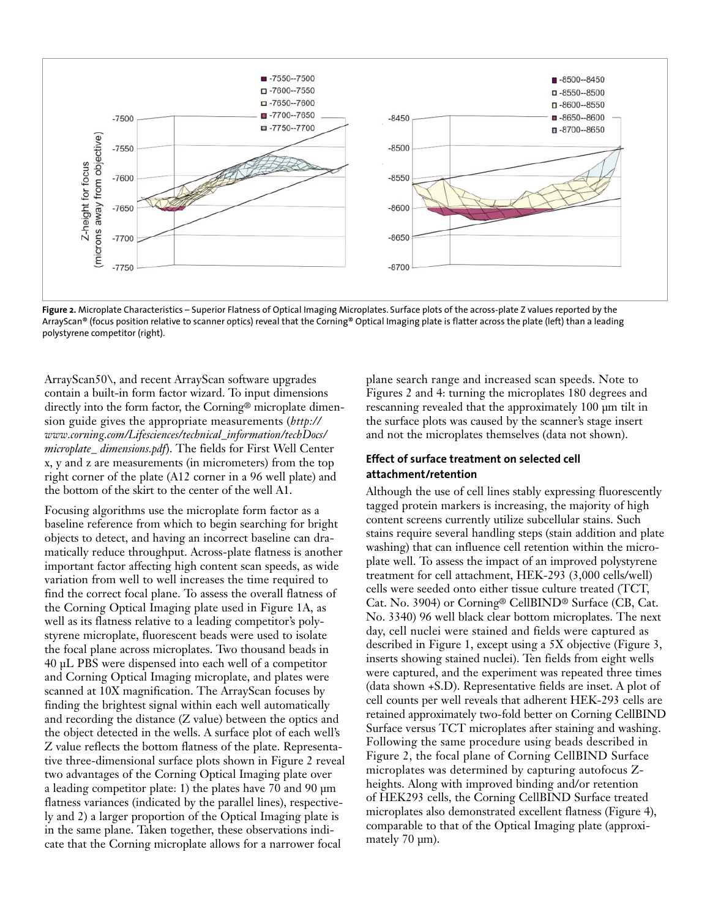

**Figure 2.** Microplate Characteristics – Superior Flatness of Optical Imaging Microplates. Surface plots of the across-plate Z values reported by the ArrayScan® (focus position relative to scanner optics) reveal that the Corning® Optical Imaging plate is flatter across the plate (left) than a leading polystyrene competitor (right).

ArrayScan50\, and recent ArrayScan software upgrades contain a built-in form factor wizard. To input dimensions directly into the form factor, the Corning® microplate dimension guide gives the appropriate measurements (*http:// www.corning.com/Lifesciences/technical\_information/techDocs/ microplate\_ dimensions.pdf*). The fields for First Well Center x, y and z are measurements (in micrometers) from the top right corner of the plate (A12 corner in a 96 well plate) and the bottom of the skirt to the center of the well A1.

Focusing algorithms use the microplate form factor as a baseline reference from which to begin searching for bright objects to detect, and having an incorrect baseline can dramatically reduce throughput. Across-plate flatness is another important factor affecting high content scan speeds, as wide variation from well to well increases the time required to find the correct focal plane. To assess the overall flatness of the Corning Optical Imaging plate used in Figure 1A, as well as its flatness relative to a leading competitor's polystyrene microplate, fluorescent beads were used to isolate the focal plane across microplates. Two thousand beads in 40 µL PBS were dispensed into each well of a competitor and Corning Optical Imaging microplate, and plates were scanned at 10X magnification. The ArrayScan focuses by finding the brightest signal within each well automatically and recording the distance (Z value) between the optics and the object detected in the wells. A surface plot of each well's Z value reflects the bottom flatness of the plate. Representative three-dimensional surface plots shown in Figure 2 reveal two advantages of the Corning Optical Imaging plate over a leading competitor plate: 1) the plates have 70 and 90 µm flatness variances (indicated by the parallel lines), respectively and 2) a larger proportion of the Optical Imaging plate is in the same plane. Taken together, these observations indicate that the Corning microplate allows for a narrower focal

plane search range and increased scan speeds. Note to Figures 2 and 4: turning the microplates 180 degrees and rescanning revealed that the approximately 100 µm tilt in the surface plots was caused by the scanner's stage insert and not the microplates themselves (data not shown).

### **Effect of surface treatment on selected cell attachment/retention**

Although the use of cell lines stably expressing fluorescently tagged protein markers is increasing, the majority of high content screens currently utilize subcellular stains. Such stains require several handling steps (stain addition and plate washing) that can influence cell retention within the microplate well. To assess the impact of an improved polystyrene treatment for cell attachment, HEK-293 (3,000 cells/well) cells were seeded onto either tissue culture treated (TCT, Cat. No. 3904) or Corning® CellBIND® Surface (CB, Cat. No. 3340) 96 well black clear bottom microplates. The next day, cell nuclei were stained and fields were captured as described in Figure 1, except using a 5X objective (Figure 3, inserts showing stained nuclei). Ten fields from eight wells were captured, and the experiment was repeated three times (data shown +S.D). Representative fields are inset. A plot of cell counts per well reveals that adherent HEK-293 cells are retained approximately two-fold better on Corning CellBIND Surface versus TCT microplates after staining and washing. Following the same procedure using beads described in Figure 2, the focal plane of Corning CellBIND Surface microplates was determined by capturing autofocus Zheights. Along with improved binding and/or retention of HEK293 cells, the Corning CellBIND Surface treated microplates also demonstrated excellent flatness (Figure 4), comparable to that of the Optical Imaging plate (approximately 70 µm).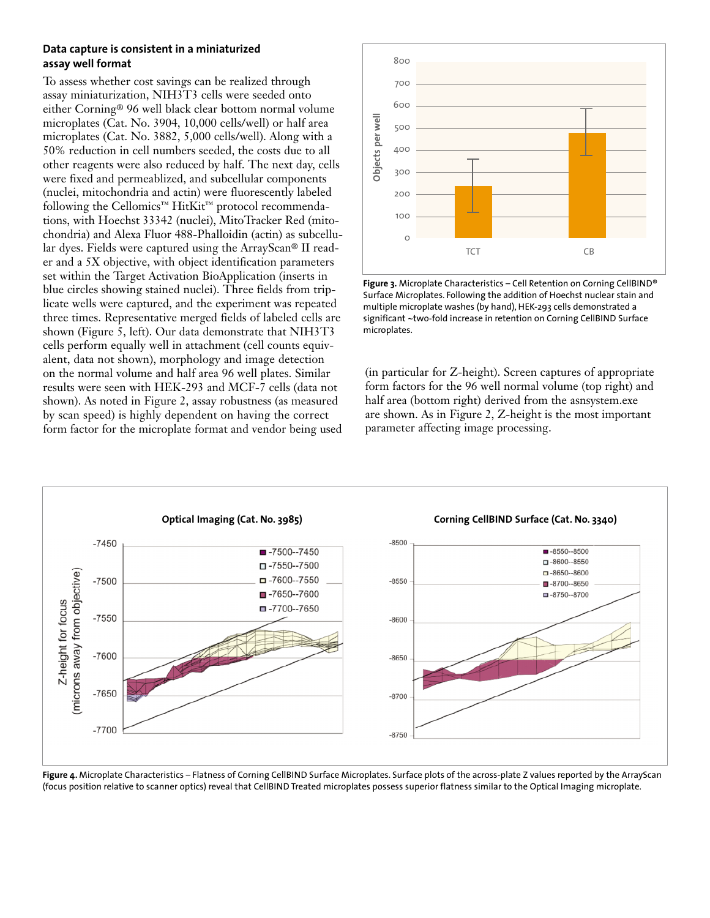### **Data capture is consistent in a miniaturized assay well format**

To assess whether cost savings can be realized through assay miniaturization, NIH3T3 cells were seeded onto either Corning® 96 well black clear bottom normal volume microplates (Cat. No. 3904, 10,000 cells/well) or half area microplates (Cat. No. 3882, 5,000 cells/well). Along with a 50% reduction in cell numbers seeded, the costs due to all other reagents were also reduced by half. The next day, cells were fixed and permeablized, and subcellular components (nuclei, mitochondria and actin) were fluorescently labeled following the Cellomics™ HitKit™ protocol recommendations, with Hoechst 33342 (nuclei), MitoTracker Red (mitochondria) and Alexa Fluor 488-Phalloidin (actin) as subcellular dyes. Fields were captured using the ArrayScan® II reader and a 5X objective, with object identification parameters set within the Target Activation BioApplication (inserts in blue circles showing stained nuclei). Three fields from triplicate wells were captured, and the experiment was repeated three times. Representative merged fields of labeled cells are shown (Figure 5, left). Our data demonstrate that NIH3T3 cells perform equally well in attachment (cell counts equivalent, data not shown), morphology and image detection on the normal volume and half area 96 well plates. Similar results were seen with HEK-293 and MCF-7 cells (data not shown). As noted in Figure 2, assay robustness (as measured by scan speed) is highly dependent on having the correct form factor for the microplate format and vendor being used



**Figure 3.** Microplate Characteristics – Cell Retention on Corning CellBIND® Surface Microplates. Following the addition of Hoechst nuclear stain and multiple microplate washes (by hand), HEK-293 cells demonstrated a significant ~two-fold increase in retention on Corning CellBIND Surface microplates.

(in particular for Z-height). Screen captures of appropriate form factors for the 96 well normal volume (top right) and half area (bottom right) derived from the asnsystem.exe are shown. As in Figure 2, Z-height is the most important parameter affecting image processing.



Figure 4. Microplate Characteristics – Flatness of Corning CellBIND Surface Microplates. Surface plots of the across-plate Z values reported by the ArrayScan (focus position relative to scanner optics) reveal that CellBIND Treated microplates possess superior flatness similar to the Optical Imaging microplate.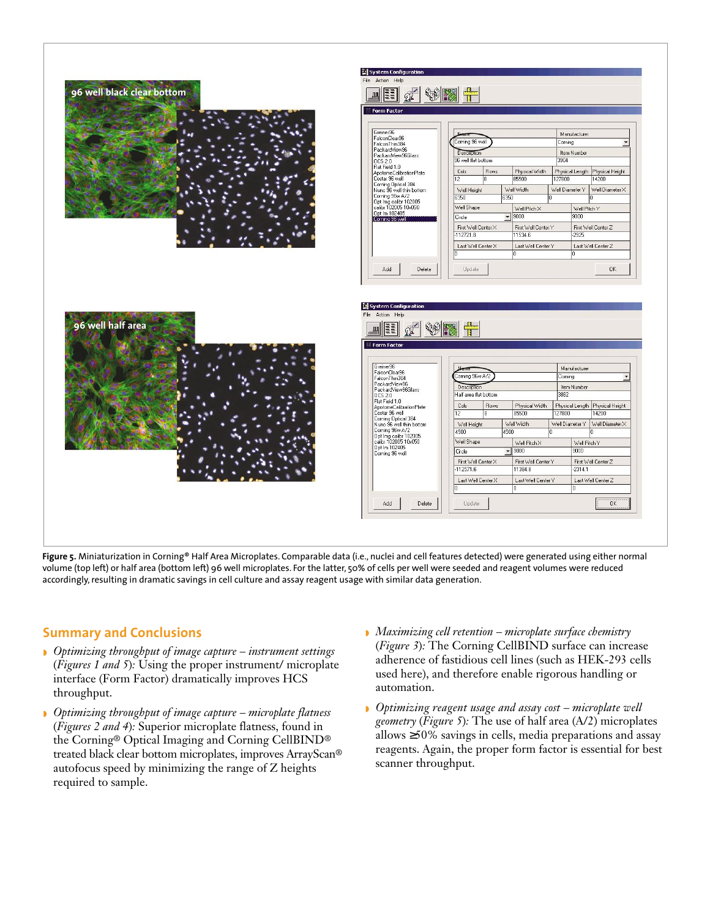

**Figure 5.** Miniaturization in Corning® Half Area Microplates. Comparable data (i.e., nuclei and cell features detected) were generated using either normal volume (top left) or half area (bottom left) 96 well microplates. For the latter, 50% of cells per well were seeded and reagent volumes were reduced accordingly, resulting in dramatic savings in cell culture and assay reagent usage with similar data generation.

## **Summary and Conclusions**

- ◗ *Optimizing throughput of image capture instrument settings* (*Figures 1 and 5*)*:* Using the proper instrument/ microplate interface (Form Factor) dramatically improves HCS throughput.
- ◗ *Optimizing throughput of image capture microplate flatness* (*Figures 2 and 4*)*:* Superior microplate flatness, found in the Corning® Optical Imaging and Corning CellBIND® treated black clear bottom microplates, improves ArrayScan® autofocus speed by minimizing the range of Z heights required to sample.
- ◗ *Maximizing cell retention microplate surface chemistry* (*Figure 3*)*:* The Corning CellBIND surface can increase adherence of fastidious cell lines (such as HEK-293 cells used here), and therefore enable rigorous handling or automation.
- ◗ *Optimizing reagent usage and assay cost microplate well geometry* (*Figure 5*)*:* The use of half area (A/2) microplates allows ≥50% savings in cells, media preparations and assay reagents. Again, the proper form factor is essential for best scanner throughput.